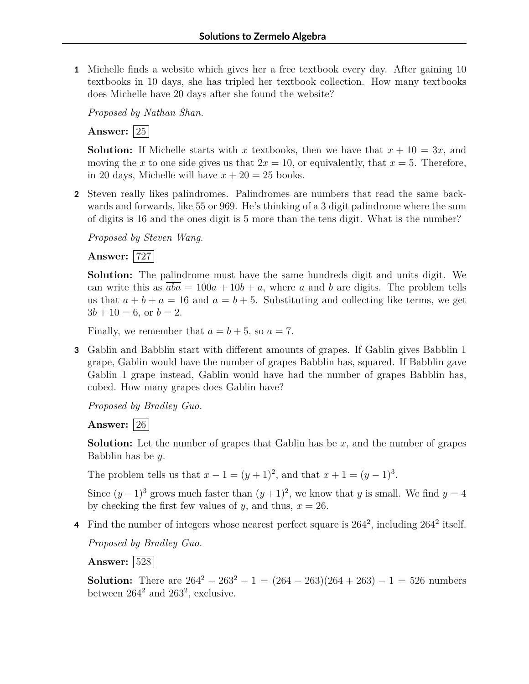**1** Michelle finds a website which gives her a free textbook every day. After gaining 10 textbooks in 10 days, she has tripled her textbook collection. How many textbooks does Michelle have 20 days after she found the website?

*Proposed by Nathan Shan.*

**Answer:** 25

**Solution:** If Michelle starts with *x* textbooks, then we have that  $x + 10 = 3x$ , and moving the *x* to one side gives us that  $2x = 10$ , or equivalently, that  $x = 5$ . Therefore, in 20 days, Michelle will have  $x + 20 = 25$  books.

**2** Steven really likes palindromes. Palindromes are numbers that read the same backwards and forwards, like 55 or 969. He's thinking of a 3 digit palindrome where the sum of digits is 16 and the ones digit is 5 more than the tens digit. What is the number?

*Proposed by Steven Wang.*

**Answer:** 727

**Solution:** The palindrome must have the same hundreds digit and units digit. We can write this as  $aba = 100a + 10b + a$ , where *a* and *b* are digits. The problem tells us that  $a + b + a = 16$  and  $a = b + 5$ . Substituting and collecting like terms, we get  $3b + 10 = 6$ , or  $b = 2$ .

Finally, we remember that  $a = b + 5$ , so  $a = 7$ .

**3** Gablin and Babblin start with different amounts of grapes. If Gablin gives Babblin 1 grape, Gablin would have the number of grapes Babblin has, squared. If Babblin gave Gablin 1 grape instead, Gablin would have had the number of grapes Babblin has, cubed. How many grapes does Gablin have?

*Proposed by Bradley Guo.*

**Answer:** 26

**Solution:** Let the number of grapes that Gablin has be *x*, and the number of grapes Babblin has be *y*.

The problem tells us that  $x - 1 = (y + 1)^2$ , and that  $x + 1 = (y - 1)^3$ .

Since  $(y-1)^3$  grows much faster than  $(y+1)^2$ , we know that *y* is small. We find  $y=4$ by checking the first few values of *y*, and thus,  $x = 26$ .

4 Find the number of integers whose nearest perfect square is  $264^2$ , including  $264^2$  itself.

*Proposed by Bradley Guo.*

**Answer:** 528

**Solution:** There are  $264^2 - 263^2 - 1 = (264 - 263)(264 + 263) - 1 = 526$  numbers between  $264^2$  and  $263^2$ , exclusive.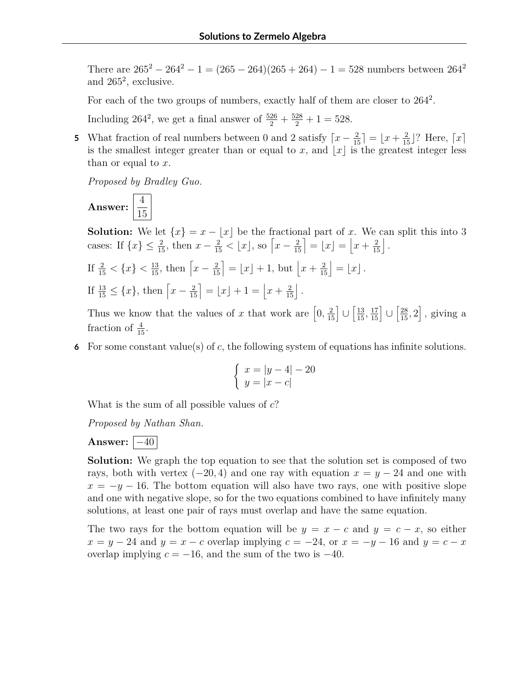There are  $265^2 - 264^2 - 1 = (265 - 264)(265 + 264) - 1 = 528$  numbers between  $264^2$ and 265<sup>2</sup> , exclusive.

For each of the two groups of numbers, exactly half of them are closer to  $264^2$ .

Including 264<sup>2</sup>, we get a final answer of  $\frac{526}{2} + \frac{528}{2} + 1 = 528$ .

**5** What fraction of real numbers between 0 and 2 satisfy  $\lceil x - \frac{2}{15} \rceil = \lfloor x + \frac{2}{15} \rfloor$ ? Here,  $\lceil x \rceil$ is the smallest integer greater than or equal to *x*, and  $|x|$  is the greatest integer less than or equal to *x*.

*Proposed by Bradley Guo.*

**Answer:**  $\frac{4}{11}$ 15

**Solution:** We let  $\{x\} = x - \lfloor x \rfloor$  be the fractional part of *x*. We can split this into 3 cases: If  $\{x\} \le \frac{2}{15}$ , then  $x - \frac{2}{15} < \lfloor x \rfloor$ , so  $\left[x - \frac{2}{15}\right] = \lfloor x \rfloor = \left\lfloor x + \frac{2}{15} \right\rfloor$ .

If 
$$
\frac{2}{15} < \{x\} < \frac{13}{15}
$$
, then  $\left[x - \frac{2}{15}\right] = \lfloor x \rfloor + 1$ , but  $\left\lfloor x + \frac{2}{15} \right\rfloor = \lfloor x \rfloor$ .  
If  $\frac{13}{15} \le \{x\}$ , then  $\left\lceil x - \frac{2}{15} \right\rceil = \lfloor x \rfloor + 1 = \left\lfloor x + \frac{2}{15} \right\rfloor$ .

Thus we know that the values of *x* that work are  $\left[0, \frac{2}{15}\right] \cup \left[\frac{13}{15}, \frac{17}{15}\right] \cup \left[\frac{28}{15}, 2\right]$ , giving a fraction of  $\frac{4}{15}$ .

**6** For some constant value(s) of *c*, the following system of equations has infinite solutions.

$$
\begin{cases}\nx = |y - 4| - 20 \\
y = |x - c|\n\end{cases}
$$

What is the sum of all possible values of *c*?

*Proposed by Nathan Shan.*

**Answer:**  $|-40$ 

**Solution:** We graph the top equation to see that the solution set is composed of two rays, both with vertex  $(-20, 4)$  and one ray with equation  $x = y - 24$  and one with  $x = -y - 16$ . The bottom equation will also have two rays, one with positive slope and one with negative slope, so for the two equations combined to have infinitely many solutions, at least one pair of rays must overlap and have the same equation.

The two rays for the bottom equation will be  $y = x - c$  and  $y = c - x$ , so either  $x = y - 24$  and  $y = x - c$  overlap implying  $c = -24$ , or  $x = -y - 16$  and  $y = c - x$ overlap implying  $c = -16$ , and the sum of the two is  $-40$ .